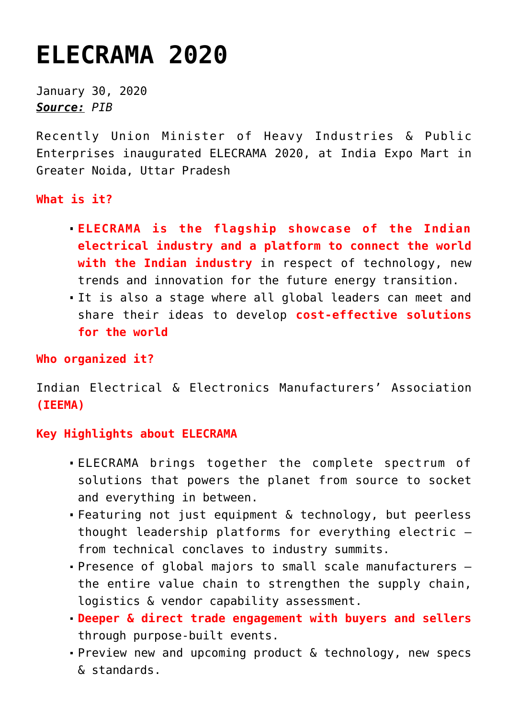## **[ELECRAMA 2020](https://journalsofindia.com/elecrama-2020/)**

January 30, 2020 *Source: PIB*

Recently Union Minister of Heavy Industries & Public Enterprises inaugurated ELECRAMA 2020, at India Expo Mart in Greater Noida, Uttar Pradesh

**What is it?**

- **ELECRAMA is the flagship showcase of the Indian electrical industry and a platform to connect the world with the Indian industry** in respect of technology, new trends and innovation for the future energy transition.
- It is also a stage where all global leaders can meet and share their ideas to develop **cost-effective solutions for the world**

**Who organized it?**

Indian Electrical & Electronics Manufacturers' Association **(IEEMA)**

## **Key Highlights about ELECRAMA**

- ELECRAMA brings together the complete spectrum of solutions that powers the planet from source to socket and everything in between.
- Featuring not just equipment & technology, but peerless thought leadership platforms for everything electric – from technical conclaves to industry summits.
- Presence of global majors to small scale manufacturers the entire value chain to strengthen the supply chain, logistics & vendor capability assessment.
- **Deeper & direct trade engagement with buyers and sellers** through purpose-built events.
- Preview new and upcoming product & technology, new specs & standards.